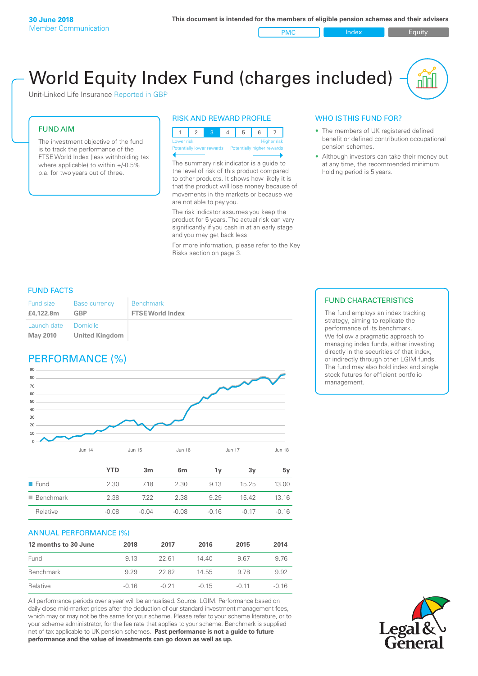PMC Index Index Equity

# World Equity Index Fund (charges included)

Unit-Linked Life Insurance Reported in GBP

#### FUND AIM

The investment objective of the fund is to track the performance of the FTSE World Index (less withholding tax where applicable) to within +/-0.5% p.a. for two years out of three.

#### RISK AND REWARD PROFILE



The summary risk indicator is a guide to the level of risk of this product compared to other products. It shows how likely it is that the product will lose money because of movements in the markets or because we are not able to pay you.

The risk indicator assumes you keep the product for 5 years. The actual risk can vary significantly if you cash in at an early stage and you may get back less.

For more information, please refer to the Key Risks section on page 3.

#### WHO IS THIS FUND FOR?

- The members of UK registered defined benefit or defined contribution occupational pension schemes.
- Although investors can take their money out at any time, the recommended minimum holding period is 5 years.

#### FUND FACTS

| <b>Fund size</b>               | <b>Base currency</b>         | <b>Benchmark</b>        |
|--------------------------------|------------------------------|-------------------------|
| £4.122.8m                      | <b>GBP</b>                   | <b>FTSE World Index</b> |
| Launch date<br><b>May 2010</b> | I Domicile<br>United Kingdom |                         |

### PERFORMANCE (%)



|                          | YTD     | 3 <sub>m</sub> | 6 <sub>m</sub> | 1۷      | 3v      | 5v      |
|--------------------------|---------|----------------|----------------|---------|---------|---------|
| $\blacksquare$ Fund      | 2.30    | 718            | 2.30           | 9.13    | 15 25   | 13.00   |
| $\blacksquare$ Benchmark | 2.38    | 722            | 2.38           | 9.29    | 1542    | 13 16   |
| Relative                 | $-0.08$ | $-0.04$        | $-0.08$        | $-0.16$ | $-0.17$ | $-0.16$ |
|                          |         |                |                |         |         |         |

#### ANNUAL PERFORMANCE (%)

| 12 months to 30 June | 2018    | 2017    | 2016    | 2015    | 2014    |
|----------------------|---------|---------|---------|---------|---------|
| Fund                 | 9 13    | 22.61   | 14.40   | 967     | 9.76    |
| Benchmark            | 9 29    | 22.82   | 14.55   | 9.78    | 9.92    |
| Relative             | $-0.16$ | $-0.21$ | $-0.15$ | $-0.11$ | $-0.16$ |

All performance periods over a year will be annualised. Source: LGIM. Performance based on daily close mid-market prices after the deduction of our standard investment management fees, which may or may not be the same for your scheme. Please refer to your scheme literature, or to your scheme administrator, for the fee rate that applies to your scheme. Benchmark is supplied net of tax applicable to UK pension schemes. **Past performance is not a guide to future performance and the value of investments can go down as well as up.**

#### FUND CHARACTERISTICS

The fund employs an index tracking strategy, aiming to replicate the performance of its benchmark. We follow a pragmatic approach to managing index funds, either investing directly in the securities of that index, or indirectly through other LGIM funds. The fund may also hold index and single stock futures for efficient portfolio management.

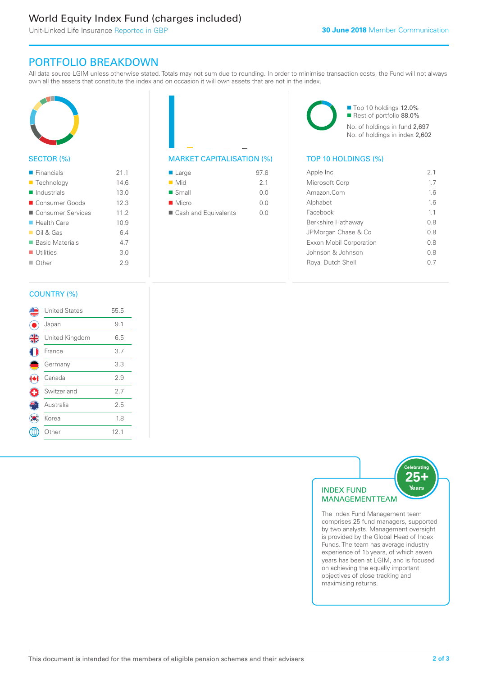## World Equity Index Fund (charges included)

Unit-Linked Life Insurance Reported in GBP

### PORTFOLIO BREAKDOWN

All data source LGIM unless otherwise stated. Totals may not sum due to rounding. In order to minimise transaction costs, the Fund will not always own all the assets that constitute the index and on occasion it will own assets that are not in the index.



#### SECTOR (%)

| 21.1 |
|------|
| 146  |
| 13.0 |
| 12.3 |
| 11.2 |
| 10.9 |
| 64   |
| 4.7  |
| 3.0  |
| 29   |
|      |

### MARKET CAPITALISATION (%) TOP 10 HOLDINGS (%)

| $\blacksquare$ Large | 97.8           |
|----------------------|----------------|
| $\blacksquare$ Mid   | 2 <sub>1</sub> |
| $\blacksquare$ Small | 0.0            |
| $\blacksquare$ Micro | 0.0            |
| Cash and Equivalents | 0 O            |

■ Top 10 holdings 12.0% Rest of portfolio 88.0% No. of holdings in fund 2,697 No. of holdings in index 2,602

| Apple Inc                | 21  |
|--------------------------|-----|
| Microsoft Corp           | 17  |
| Amazon Com               | 16  |
| Alphabet                 | 16  |
| Facebook                 | 11  |
| Berkshire Hathaway       | 08  |
| JPMorgan Chase & Co      | 0 S |
| Exxon Mobil Corporation  | 0 S |
| Johnson & Johnson        | 0 S |
| <b>Royal Dutch Shell</b> | (1) |
|                          |     |

### COUNTRY (%)

|               | <b>United States</b> | 55.5 |  |
|---------------|----------------------|------|--|
|               | Japan                | 9.1  |  |
| $\frac{4}{5}$ | United Kingdom       | 6.5  |  |
|               | France               | 3.7  |  |
|               | Germany              | 3.3  |  |
|               | Canada               | 2.9  |  |
|               | Switzerland          | 2.7  |  |
|               | Australia            | 2.5  |  |
|               | Korea                | 1.8  |  |
|               | Other                | 12.1 |  |
|               |                      |      |  |



The Index Fund Management team comprises 25 fund managers, supported by two analysts. Management oversight is provided by the Global Head of Index Funds. The team has average industry experience of 15 years, of which seven years has been at LGIM, and is focused on achieving the equally important objectives of close tracking and maximising returns.